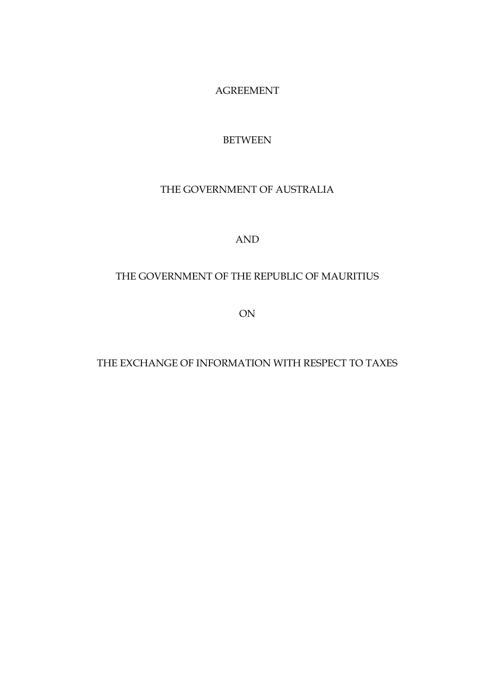AGREEMENT

# BETWEEN

# THE GOVERNMENT OF AUSTRALIA

## AND

# THE GOVERNMENT OF THE REPUBLIC OF MAURITIUS

ON

## THE EXCHANGE OF INFORMATION WITH RESPECT TO TAXES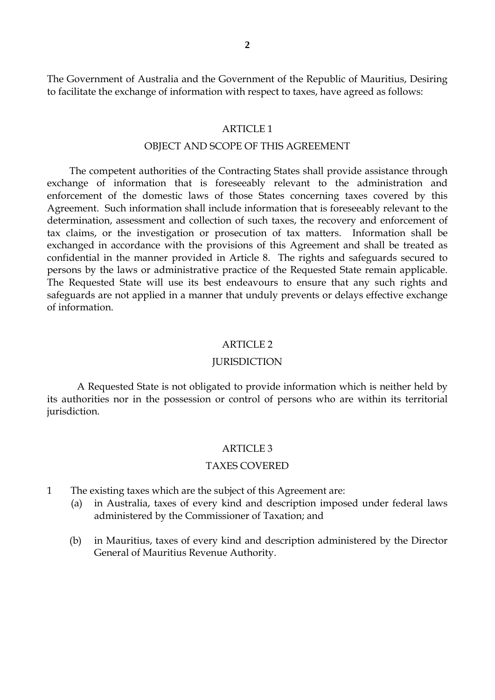The Government of Australia and the Government of the Republic of Mauritius, Desiring to facilitate the exchange of information with respect to taxes, have agreed as follows:

#### ARTICLE 1

#### OBJECT AND SCOPE OF THIS AGREEMENT

The competent authorities of the Contracting States shall provide assistance through exchange of information that is foreseeably relevant to the administration and enforcement of the domestic laws of those States concerning taxes covered by this Agreement. Such information shall include information that is foreseeably relevant to the determination, assessment and collection of such taxes, the recovery and enforcement of tax claims, or the investigation or prosecution of tax matters. Information shall be exchanged in accordance with the provisions of this Agreement and shall be treated as confidential in the manner provided in Article 8. The rights and safeguards secured to persons by the laws or administrative practice of the Requested State remain applicable. The Requested State will use its best endeavours to ensure that any such rights and safeguards are not applied in a manner that unduly prevents or delays effective exchange of information.

#### ARTICLE 2

#### **JURISDICTION**

A Requested State is not obligated to provide information which is neither held by its authorities nor in the possession or control of persons who are within its territorial jurisdiction.

#### ARTICLE 3

#### TAXES COVERED

- 1 The existing taxes which are the subject of this Agreement are:
	- (a) in Australia, taxes of every kind and description imposed under federal laws administered by the Commissioner of Taxation; and
	- (b) in Mauritius, taxes of every kind and description administered by the Director General of Mauritius Revenue Authority.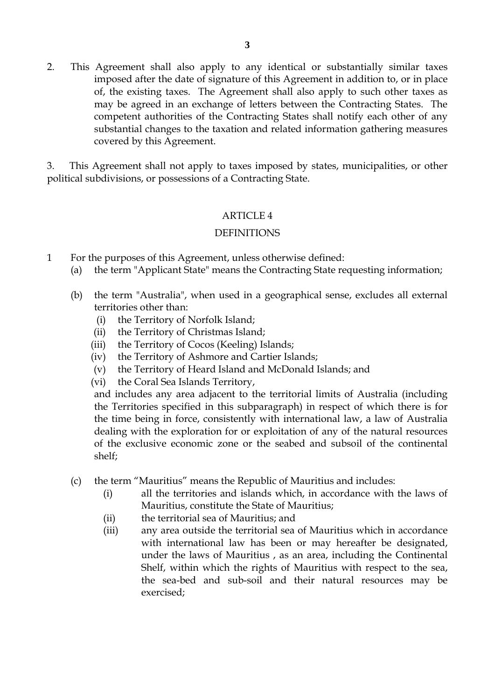2. This Agreement shall also apply to any identical or substantially similar taxes imposed after the date of signature of this Agreement in addition to, or in place of, the existing taxes. The Agreement shall also apply to such other taxes as may be agreed in an exchange of letters between the Contracting States. The competent authorities of the Contracting States shall notify each other of any substantial changes to the taxation and related information gathering measures covered by this Agreement.

3. This Agreement shall not apply to taxes imposed by states, municipalities, or other political subdivisions, or possessions of a Contracting State.

# ARTICLE 4

## DEFINITIONS

- 1 For the purposes of this Agreement, unless otherwise defined:
	- (a) the term "Applicant State" means the Contracting State requesting information;
	- (b) the term "Australia", when used in a geographical sense, excludes all external territories other than:
		- (i) the Territory of Norfolk Island;
		- (ii) the Territory of Christmas Island;
		- (iii) the Territory of Cocos (Keeling) Islands;
		- (iv) the Territory of Ashmore and Cartier Islands;
		- (v) the Territory of Heard Island and McDonald Islands; and
		- (vi) the Coral Sea Islands Territory,

and includes any area adjacent to the territorial limits of Australia (including the Territories specified in this subparagraph) in respect of which there is for the time being in force, consistently with international law, a law of Australia dealing with the exploration for or exploitation of any of the natural resources of the exclusive economic zone or the seabed and subsoil of the continental shelf;

- (c) the term "Mauritius" means the Republic of Mauritius and includes:
	- (i) all the territories and islands which, in accordance with the laws of Mauritius, constitute the State of Mauritius;
	- (ii) the territorial sea of Mauritius; and
	- (iii) any area outside the territorial sea of Mauritius which in accordance with international law has been or may hereafter be designated, under the laws of Mauritius , as an area, including the Continental Shelf, within which the rights of Mauritius with respect to the sea, the sea-bed and sub-soil and their natural resources may be exercised;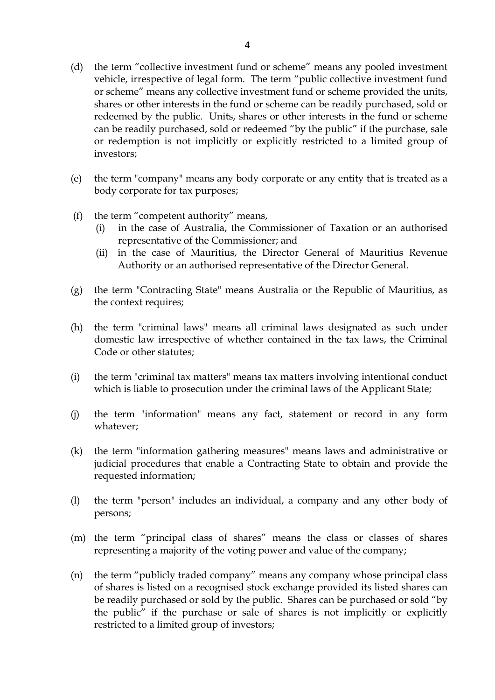- (d) the term "collective investment fund or scheme" means any pooled investment vehicle, irrespective of legal form. The term "public collective investment fund or scheme" means any collective investment fund or scheme provided the units, shares or other interests in the fund or scheme can be readily purchased, sold or redeemed by the public. Units, shares or other interests in the fund or scheme can be readily purchased, sold or redeemed "by the public" if the purchase, sale or redemption is not implicitly or explicitly restricted to a limited group of investors;
- (e) the term "company" means any body corporate or any entity that is treated as a body corporate for tax purposes;
- (f) the term "competent authority" means,
	- (i) in the case of Australia, the Commissioner of Taxation or an authorised representative of the Commissioner; and
	- (ii) in the case of Mauritius, the Director General of Mauritius Revenue Authority or an authorised representative of the Director General.
- (g) the term "Contracting State" means Australia or the Republic of Mauritius, as the context requires;
- (h) the term "criminal laws" means all criminal laws designated as such under domestic law irrespective of whether contained in the tax laws, the Criminal Code or other statutes;
- (i) the term "criminal tax matters" means tax matters involving intentional conduct which is liable to prosecution under the criminal laws of the Applicant State;
- (j) the term "information" means any fact, statement or record in any form whatever;
- (k) the term "information gathering measures" means laws and administrative or judicial procedures that enable a Contracting State to obtain and provide the requested information;
- (l) the term "person" includes an individual, a company and any other body of persons;
- (m) the term "principal class of shares" means the class or classes of shares representing a majority of the voting power and value of the company;
- (n) the term "publicly traded company" means any company whose principal class of shares is listed on a recognised stock exchange provided its listed shares can be readily purchased or sold by the public. Shares can be purchased or sold "by the public" if the purchase or sale of shares is not implicitly or explicitly restricted to a limited group of investors;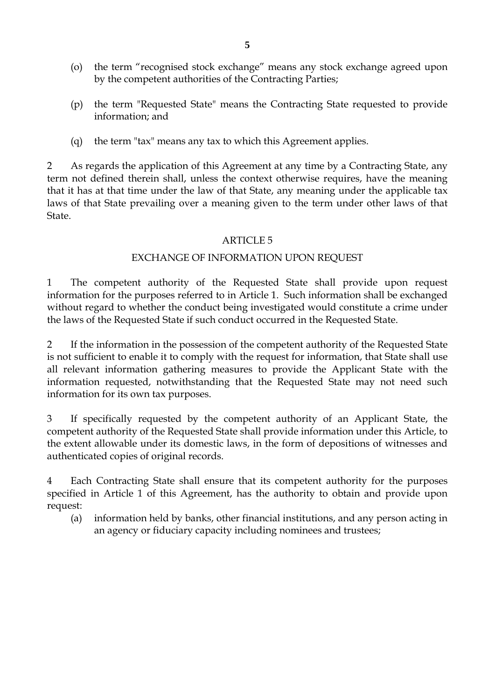- (o) the term "recognised stock exchange" means any stock exchange agreed upon by the competent authorities of the Contracting Parties;
- (p) the term "Requested State" means the Contracting State requested to provide information; and
- (q) the term "tax" means any tax to which this Agreement applies.

2 As regards the application of this Agreement at any time by a Contracting State, any term not defined therein shall, unless the context otherwise requires, have the meaning that it has at that time under the law of that State, any meaning under the applicable tax laws of that State prevailing over a meaning given to the term under other laws of that State.

## ARTICLE 5

## EXCHANGE OF INFORMATION UPON REQUEST

1 The competent authority of the Requested State shall provide upon request information for the purposes referred to in Article 1. Such information shall be exchanged without regard to whether the conduct being investigated would constitute a crime under the laws of the Requested State if such conduct occurred in the Requested State.

2 If the information in the possession of the competent authority of the Requested State is not sufficient to enable it to comply with the request for information, that State shall use all relevant information gathering measures to provide the Applicant State with the information requested, notwithstanding that the Requested State may not need such information for its own tax purposes.

3 If specifically requested by the competent authority of an Applicant State, the competent authority of the Requested State shall provide information under this Article, to the extent allowable under its domestic laws, in the form of depositions of witnesses and authenticated copies of original records.

4 Each Contracting State shall ensure that its competent authority for the purposes specified in Article 1 of this Agreement, has the authority to obtain and provide upon request:

(a) information held by banks, other financial institutions, and any person acting in an agency or fiduciary capacity including nominees and trustees;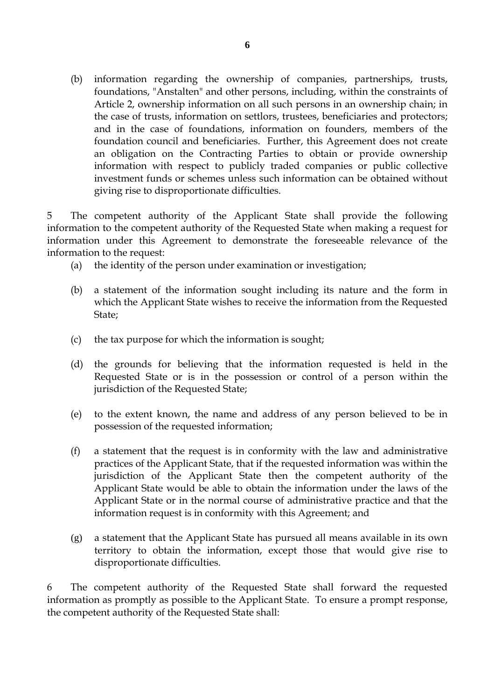(b) information regarding the ownership of companies, partnerships, trusts, foundations, "Anstalten" and other persons, including, within the constraints of Article 2, ownership information on all such persons in an ownership chain; in the case of trusts, information on settlors, trustees, beneficiaries and protectors; and in the case of foundations, information on founders, members of the foundation council and beneficiaries. Further, this Agreement does not create an obligation on the Contracting Parties to obtain or provide ownership information with respect to publicly traded companies or public collective investment funds or schemes unless such information can be obtained without giving rise to disproportionate difficulties.

5 The competent authority of the Applicant State shall provide the following information to the competent authority of the Requested State when making a request for information under this Agreement to demonstrate the foreseeable relevance of the information to the request:

- (a) the identity of the person under examination or investigation;
- (b) a statement of the information sought including its nature and the form in which the Applicant State wishes to receive the information from the Requested State;
- (c) the tax purpose for which the information is sought;
- (d) the grounds for believing that the information requested is held in the Requested State or is in the possession or control of a person within the jurisdiction of the Requested State;
- (e) to the extent known, the name and address of any person believed to be in possession of the requested information;
- (f) a statement that the request is in conformity with the law and administrative practices of the Applicant State, that if the requested information was within the jurisdiction of the Applicant State then the competent authority of the Applicant State would be able to obtain the information under the laws of the Applicant State or in the normal course of administrative practice and that the information request is in conformity with this Agreement; and
- (g) a statement that the Applicant State has pursued all means available in its own territory to obtain the information, except those that would give rise to disproportionate difficulties.

6 The competent authority of the Requested State shall forward the requested information as promptly as possible to the Applicant State. To ensure a prompt response, the competent authority of the Requested State shall: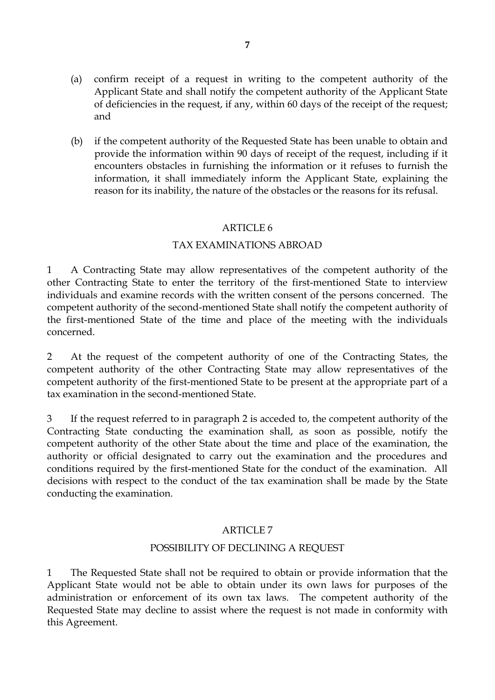- (a) confirm receipt of a request in writing to the competent authority of the Applicant State and shall notify the competent authority of the Applicant State of deficiencies in the request, if any, within 60 days of the receipt of the request; and
- (b) if the competent authority of the Requested State has been unable to obtain and provide the information within 90 days of receipt of the request, including if it encounters obstacles in furnishing the information or it refuses to furnish the information, it shall immediately inform the Applicant State, explaining the reason for its inability, the nature of the obstacles or the reasons for its refusal.

## ARTICLE 6

## TAX EXAMINATIONS ABROAD

1 A Contracting State may allow representatives of the competent authority of the other Contracting State to enter the territory of the first-mentioned State to interview individuals and examine records with the written consent of the persons concerned. The competent authority of the second-mentioned State shall notify the competent authority of the first-mentioned State of the time and place of the meeting with the individuals concerned.

2 At the request of the competent authority of one of the Contracting States, the competent authority of the other Contracting State may allow representatives of the competent authority of the first-mentioned State to be present at the appropriate part of a tax examination in the second-mentioned State.

3 If the request referred to in paragraph 2 is acceded to, the competent authority of the Contracting State conducting the examination shall, as soon as possible, notify the competent authority of the other State about the time and place of the examination, the authority or official designated to carry out the examination and the procedures and conditions required by the first-mentioned State for the conduct of the examination. All decisions with respect to the conduct of the tax examination shall be made by the State conducting the examination.

## ARTICLE 7

## POSSIBILITY OF DECLINING A REQUEST

1 The Requested State shall not be required to obtain or provide information that the Applicant State would not be able to obtain under its own laws for purposes of the administration or enforcement of its own tax laws. The competent authority of the Requested State may decline to assist where the request is not made in conformity with this Agreement.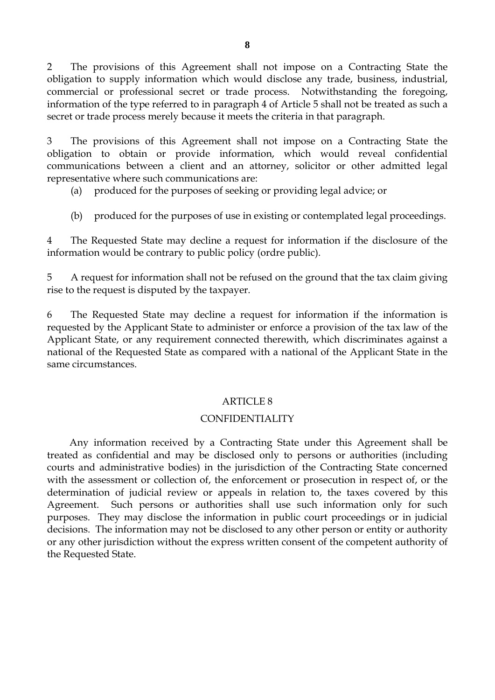2 The provisions of this Agreement shall not impose on a Contracting State the obligation to supply information which would disclose any trade, business, industrial, commercial or professional secret or trade process. Notwithstanding the foregoing, information of the type referred to in paragraph 4 of Article 5 shall not be treated as such a secret or trade process merely because it meets the criteria in that paragraph.

3 The provisions of this Agreement shall not impose on a Contracting State the obligation to obtain or provide information, which would reveal confidential communications between a client and an attorney, solicitor or other admitted legal representative where such communications are:

(a) produced for the purposes of seeking or providing legal advice; or

(b) produced for the purposes of use in existing or contemplated legal proceedings.

4 The Requested State may decline a request for information if the disclosure of the information would be contrary to public policy (ordre public).

5 A request for information shall not be refused on the ground that the tax claim giving rise to the request is disputed by the taxpayer.

6 The Requested State may decline a request for information if the information is requested by the Applicant State to administer or enforce a provision of the tax law of the Applicant State, or any requirement connected therewith, which discriminates against a national of the Requested State as compared with a national of the Applicant State in the same circumstances.

## ARTICLE 8

## CONFIDENTIALITY

Any information received by a Contracting State under this Agreement shall be treated as confidential and may be disclosed only to persons or authorities (including courts and administrative bodies) in the jurisdiction of the Contracting State concerned with the assessment or collection of, the enforcement or prosecution in respect of, or the determination of judicial review or appeals in relation to, the taxes covered by this Agreement. Such persons or authorities shall use such information only for such purposes. They may disclose the information in public court proceedings or in judicial decisions. The information may not be disclosed to any other person or entity or authority or any other jurisdiction without the express written consent of the competent authority of the Requested State.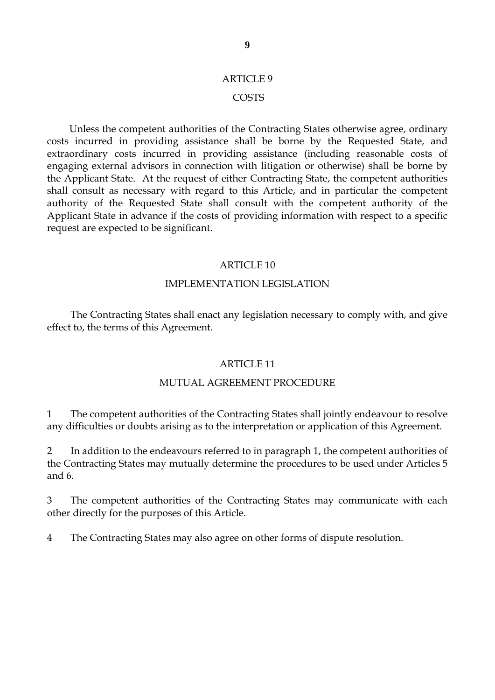# ARTICLE 9 COSTS

Unless the competent authorities of the Contracting States otherwise agree, ordinary costs incurred in providing assistance shall be borne by the Requested State, and extraordinary costs incurred in providing assistance (including reasonable costs of engaging external advisors in connection with litigation or otherwise) shall be borne by the Applicant State. At the request of either Contracting State, the competent authorities shall consult as necessary with regard to this Article, and in particular the competent authority of the Requested State shall consult with the competent authority of the Applicant State in advance if the costs of providing information with respect to a specific request are expected to be significant.

## ARTICLE 10

## IMPLEMENTATION LEGISLATION

The Contracting States shall enact any legislation necessary to comply with, and give effect to, the terms of this Agreement.

## ARTICLE 11

## MUTUAL AGREEMENT PROCEDURE

1 The competent authorities of the Contracting States shall jointly endeavour to resolve any difficulties or doubts arising as to the interpretation or application of this Agreement.

2 In addition to the endeavours referred to in paragraph 1, the competent authorities of the Contracting States may mutually determine the procedures to be used under Articles 5 and 6.

3 The competent authorities of the Contracting States may communicate with each other directly for the purposes of this Article.

4 The Contracting States may also agree on other forms of dispute resolution.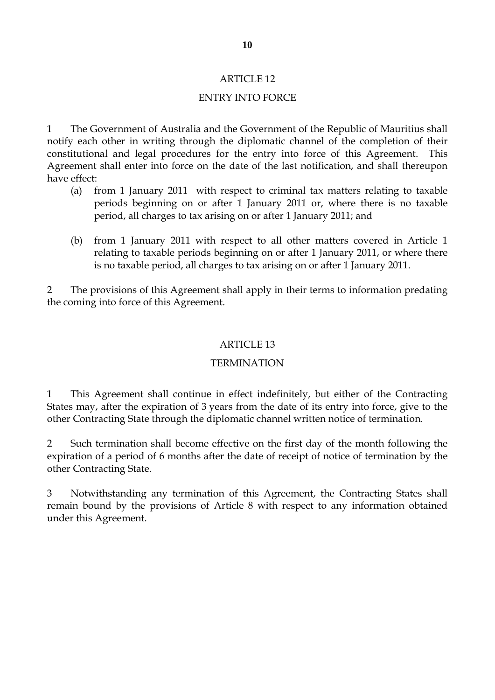## ARTICLE 12

# ENTRY INTO FORCE

1 The Government of Australia and the Government of the Republic of Mauritius shall notify each other in writing through the diplomatic channel of the completion of their constitutional and legal procedures for the entry into force of this Agreement. This Agreement shall enter into force on the date of the last notification, and shall thereupon have effect:

- (a) from 1 January 2011 with respect to criminal tax matters relating to taxable periods beginning on or after 1 January 2011 or, where there is no taxable period, all charges to tax arising on or after 1 January 2011; and
- (b) from 1 January 2011 with respect to all other matters covered in Article 1 relating to taxable periods beginning on or after 1 January 2011, or where there is no taxable period, all charges to tax arising on or after 1 January 2011.

2 The provisions of this Agreement shall apply in their terms to information predating the coming into force of this Agreement.

## ARTICLE 13

## **TERMINATION**

1 This Agreement shall continue in effect indefinitely, but either of the Contracting States may, after the expiration of 3 years from the date of its entry into force, give to the other Contracting State through the diplomatic channel written notice of termination.

2 Such termination shall become effective on the first day of the month following the expiration of a period of 6 months after the date of receipt of notice of termination by the other Contracting State.

3 Notwithstanding any termination of this Agreement, the Contracting States shall remain bound by the provisions of Article 8 with respect to any information obtained under this Agreement.